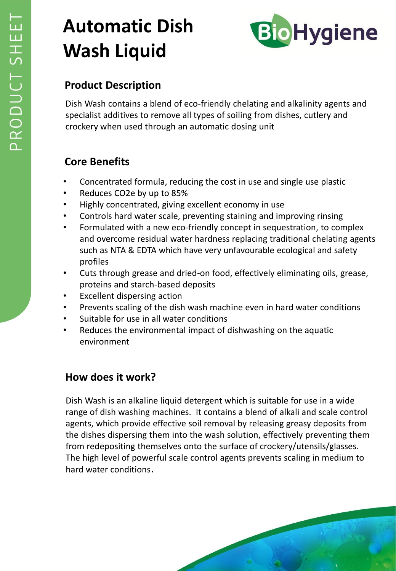# **Automatic Dish Wash Liquid**



## **Product Description**

Dish Wash contains a blend of eco-friendly chelating and alkalinity agents and specialist additives to remove all types of soiling from dishes, cutlery and crockery when used through an automatic dosing unit

### **Core Benefits**

- Concentrated formula, reducing the cost in use and single use plastic
- Reduces CO2e by up to 85%
- Highly concentrated, giving excellent economy in use
- Controls hard water scale, preventing staining and improving rinsing
- Formulated with a new eco-friendly concept in sequestration, to complex and overcome residual water hardness replacing traditional chelating agents such as NTA & EDTA which have very unfavourable ecological and safety profiles
- Cuts through grease and dried-on food, effectively eliminating oils, grease, proteins and starch-based deposits
- Excellent dispersing action
- Prevents scaling of the dish wash machine even in hard water conditions
- Suitable for use in all water conditions
- Reduces the environmental impact of dishwashing on the aquatic environment

## **How does it work?**

Dish Wash is an alkaline liquid detergent which is suitable for use in a wide range of dish washing machines. It contains a blend of alkali and scale control agents, which provide effective soil removal by releasing greasy deposits from the dishes dispersing them into the wash solution, effectively preventing them from redepositing themselves onto the surface of crockery/utensils/glasses. The high level of powerful scale control agents prevents scaling in medium to hard water conditions.